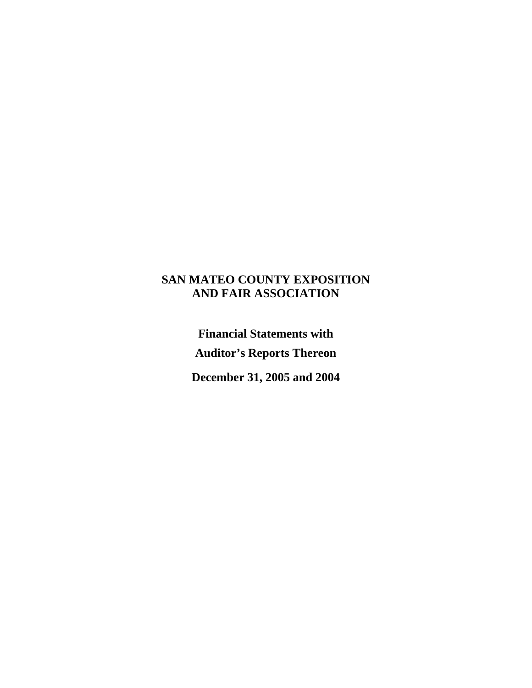## **SAN MATEO COUNTY EXPOSITION AND FAIR ASSOCIATION**

**Financial Statements with Auditor's Reports Thereon** 

**December 31, 2005 and 2004**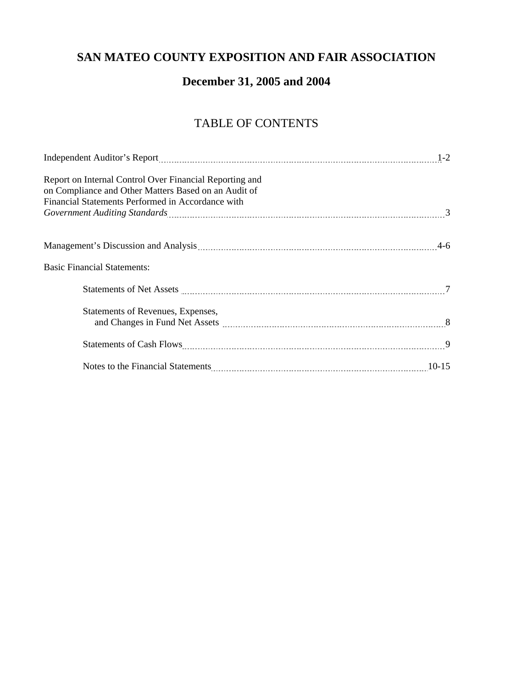# **SAN MATEO COUNTY EXPOSITION AND FAIR ASSOCIATION**

# **December 31, 2005 and 2004**

# TABLE OF CONTENTS

|                                                                                                                                                                                                                                | $1 - 2$ |
|--------------------------------------------------------------------------------------------------------------------------------------------------------------------------------------------------------------------------------|---------|
| Report on Internal Control Over Financial Reporting and<br>on Compliance and Other Matters Based on an Audit of                                                                                                                |         |
| Financial Statements Performed in Accordance with                                                                                                                                                                              |         |
| Government Auditing Standards [1986] [30] The Government Covernment Auditing Standards 3                                                                                                                                       |         |
|                                                                                                                                                                                                                                |         |
|                                                                                                                                                                                                                                |         |
| <b>Basic Financial Statements:</b>                                                                                                                                                                                             |         |
|                                                                                                                                                                                                                                |         |
|                                                                                                                                                                                                                                |         |
| Statements of Revenues, Expenses,                                                                                                                                                                                              |         |
|                                                                                                                                                                                                                                |         |
|                                                                                                                                                                                                                                |         |
|                                                                                                                                                                                                                                |         |
| Notes to the Financial Statements Material Communication and the Financial Statements Material Communication and the Financial Statements Material Statements Material Communication and the Financial Statements Material Com |         |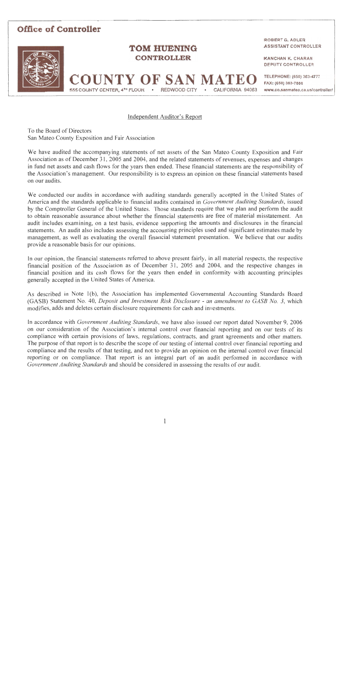#### **Office of Controller ROBERT G. ADLER** ASSISTANT CONTROLLER **TOM HUENING CONTROLLER KANCHAN K. CHARAN DEPUTY CONTROLLER COUNTY OF SAN MATE** TELEPHONE: (650) 363-4777 FAX: (650) 363-7888 REDWOOD CITY CALIFORNIA 94063 555 COUNTY CENTER, 4<sup>TH</sup> FLOOR www.co.sanmateo.ca.us/controller/

#### Independent Auditor's Report

To the Board of Directors San Mateo County Exposition and Fair Association

We have audited the accompanying statements of net assets of the San Mateo County Exposition and Fair Association as of December 31, 2005 and 2004, and the related statements of revenues, expenses and changes in fund net assets and cash flows for the years then ended. These financial statements are the responsibility of the Association's management. Our responsibility is to express an opinion on these financial statements based on our audits.

We conducted our audits in accordance with auditing standards generally accepted in the United States of America and the standards applicable to financial audits contained in Government Auditing Standards, issued by the Comptroller General of the United States. Those standards require that we plan and perform the audit to obtain reasonable assurance about whether the financial statements are free of material misstatement. An audit includes examining, on a test basis, evidence supporting the amounts and disclosures in the financial statements. An audit also includes assessing the accounting principles used and significant estimates made by management, as well as evaluating the overall financial statement presentation. We believe that our audits provide a reasonable basis for our opinions.

In our opinion, the financial statements referred to above present fairly, in all material respects, the respective financial position of the Association as of December 31, 2005 and 2004, and the respective changes in financial position and its cash flows for the years then ended in conformity with accounting principles generally accepted in the United States of America.

As described in Note 1(b), the Association has implemented Governmental Accounting Standards Board (GASB) Statement No. 40, *Deposit and Investment Risk Disclosure - an amendment to GASB No. 3*, which modifies, adds and deletes certain disclosure requirements for cash and investments.

In accordance with Government Auditing Standards, we have also issued our report dated November 9, 2006 on our consideration of the Association's internal control over financial reporting and on our tests of its compliance with certain provisions of laws, regulations, contracts, and grant agreements and other matters. The purpose of that report is to describe the scope of our testing of internal control over financial reporting and compliance and the results of that testing, and not to provide an opinion on the internal control over financial reporting or on compliance. That report is an integral part of an audit performed in accordance with Government Auditing Standards and should be considered in assessing the results of our audit.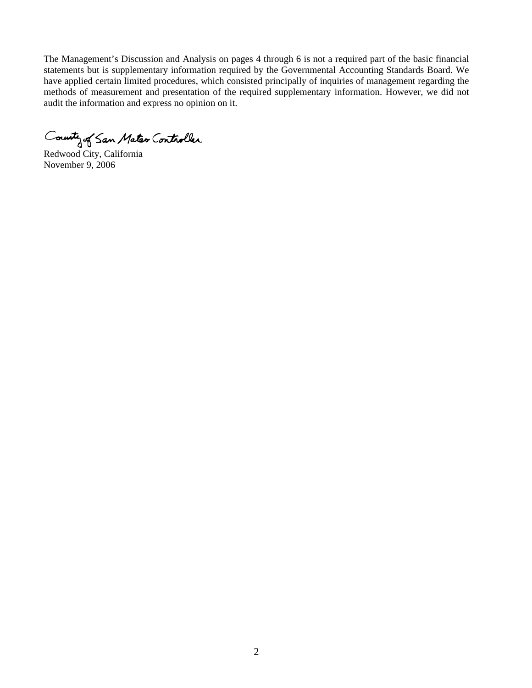The Management's Discussion and Analysis on pages 4 through 6 is not a required part of the basic financial statements but is supplementary information required by the Governmental Accounting Standards Board. We have applied certain limited procedures, which consisted principally of inquiries of management regarding the methods of measurement and presentation of the required supplementary information. However, we did not audit the information and express no opinion on it.

County of San Mateo Controller

November 9, 2006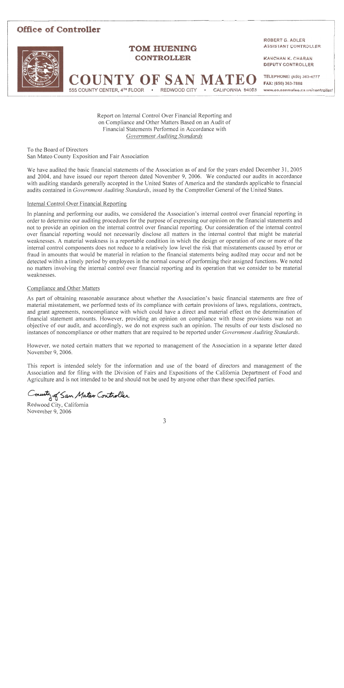## **Office of Controller**



## **TOM HUENING CONTROLLER**

**COUNTY OF SAN MATEO** 

REDWOOD CITY

CALIFORNIA 94063

**ROBERT G. ADLER ASSISTANT CONTROLLER** 

**KANCHAN K. CHARAN DEPUTY CONTROLLER** 

TELEPHONE: (650) 363-4777 FAX: (650) 363-7888 www.co.sanmateo.ca.us/controller/

Report on Internal Control Over Financial Reporting and on Compliance and Other Matters Based on an Audit of Financial Statements Performed in Accordance with Government Auditing Standards

To the Board of Directors San Mateo County Exposition and Fair Association

555 COUNTY CENTER, 4<sup>TH</sup> FLOOR .

We have audited the basic financial statements of the Association as of and for the years ended December 31, 2005 and 2004, and have issued our report thereon dated November 9, 2006. We conducted our audits in accordance with auditing standards generally accepted in the United States of America and the standards applicable to financial audits contained in *Government Auditing Standards*, issued by the Comptroller General of the United States.

#### Internal Control Over Financial Reporting

In planning and performing our audits, we considered the Association's internal control over financial reporting in order to determine our auditing procedures for the purpose of expressing our opinion on the financial statements and not to provide an opinion on the internal control over financial reporting. Our consideration of the internal control over financial reporting would not necessarily disclose all matters in the internal control that might be material weaknesses. A material weakness is a reportable condition in which the design or operation of one or more of the internal control components does not reduce to a relatively low level the risk that misstatements caused by error or fraud in amounts that would be material in relation to the financial statements being audited may occur and not be detected within a timely period by employees in the normal course of performing their assigned functions. We noted no matters involving the internal control over financial reporting and its operation that we consider to be material weaknesses.

#### Compliance and Other Matters

As part of obtaining reasonable assurance about whether the Association's basic financial statements are free of material misstatement, we performed tests of its compliance with certain provisions of laws, regulations, contracts, and grant agreements, noncompliance with which could have a direct and material effect on the determination of financial statement amounts. However, providing an opinion on compliance with those provisions was not an objective of our audit, and accordingly, we do not express such an opinion. The results of our tests disclosed no instances of noncompliance or other matters that are required to be reported under Government Auditing Standards.

However, we noted certain matters that we reported to management of the Association in a separate letter dated November 9, 2006.

This report is intended solely for the information and use of the board of directors and management of the Association and for filing with the Division of Fairs and Expositions of the California Department of Food and Agriculture and is not intended to be and should not be used by anyone other than these specified parties.

County of San Mater Controller

Redwood City, California November 9, 2006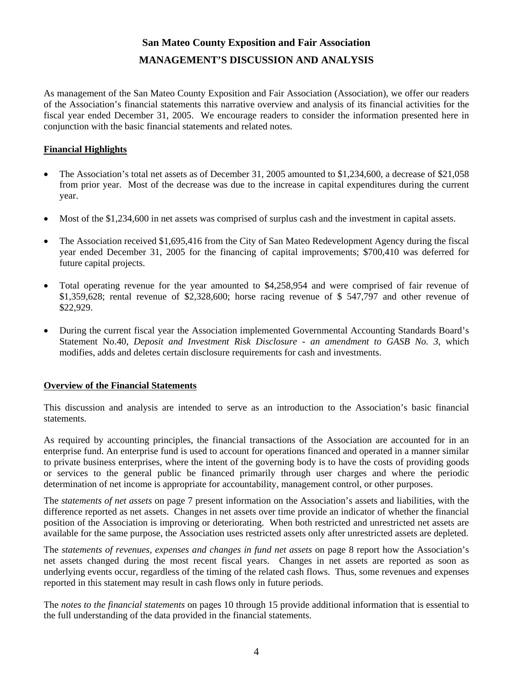## **San Mateo County Exposition and Fair Association MANAGEMENT'S DISCUSSION AND ANALYSIS**

As management of the San Mateo County Exposition and Fair Association (Association), we offer our readers of the Association's financial statements this narrative overview and analysis of its financial activities for the fiscal year ended December 31, 2005. We encourage readers to consider the information presented here in conjunction with the basic financial statements and related notes.

#### **Financial Highlights**

- The Association's total net assets as of December 31, 2005 amounted to \$1,234,600, a decrease of \$21,058 from prior year. Most of the decrease was due to the increase in capital expenditures during the current year.
- Most of the \$1,234,600 in net assets was comprised of surplus cash and the investment in capital assets.
- The Association received \$1,695,416 from the City of San Mateo Redevelopment Agency during the fiscal year ended December 31, 2005 for the financing of capital improvements; \$700,410 was deferred for future capital projects.
- Total operating revenue for the year amounted to \$4,258,954 and were comprised of fair revenue of \$1,359,628; rental revenue of \$2,328,600; horse racing revenue of \$ 547,797 and other revenue of \$22,929.
- During the current fiscal year the Association implemented Governmental Accounting Standards Board's Statement No.40, *Deposit and Investment Risk Disclosure - an amendment to GASB No. 3*, which modifies, adds and deletes certain disclosure requirements for cash and investments.

#### **Overview of the Financial Statements**

This discussion and analysis are intended to serve as an introduction to the Association's basic financial statements.

As required by accounting principles, the financial transactions of the Association are accounted for in an enterprise fund. An enterprise fund is used to account for operations financed and operated in a manner similar to private business enterprises, where the intent of the governing body is to have the costs of providing goods or services to the general public be financed primarily through user charges and where the periodic determination of net income is appropriate for accountability, management control, or other purposes.

The *statements of net assets* on page 7 present information on the Association's assets and liabilities, with the difference reported as net assets. Changes in net assets over time provide an indicator of whether the financial position of the Association is improving or deteriorating. When both restricted and unrestricted net assets are available for the same purpose, the Association uses restricted assets only after unrestricted assets are depleted.

The *statements of revenues, expenses and changes in fund net assets* on page 8 report how the Association's net assets changed during the most recent fiscal years. Changes in net assets are reported as soon as underlying events occur, regardless of the timing of the related cash flows. Thus, some revenues and expenses reported in this statement may result in cash flows only in future periods.

The *notes to the financial statements* on pages 10 through 15 provide additional information that is essential to the full understanding of the data provided in the financial statements.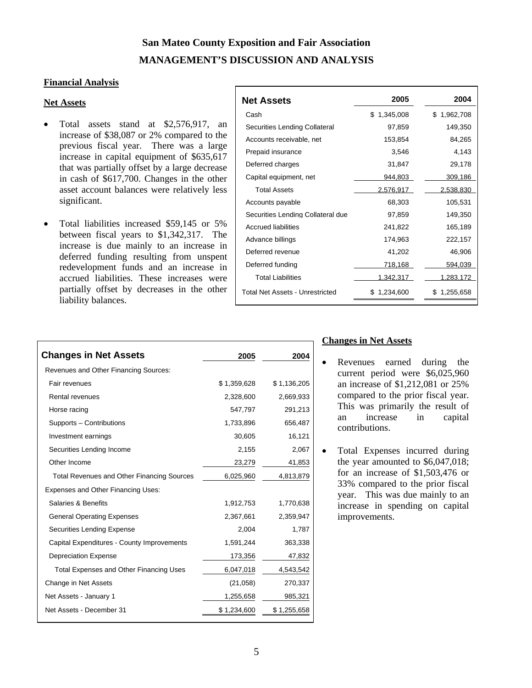## **San Mateo County Exposition and Fair Association MANAGEMENT'S DISCUSSION AND ANALYSIS**

#### **Financial Analysis**

#### **Net Assets**

- Total assets stand at \$2,576,917, an increase of \$38,087 or 2% compared to the previous fiscal year. There was a large increase in capital equipment of \$635,617 that was partially offset by a large decrease in cash of \$617,700. Changes in the other asset account balances were relatively less significant.
- Total liabilities increased \$59,145 or 5% between fiscal years to \$1,342,317. The increase is due mainly to an increase in deferred funding resulting from unspent redevelopment funds and an increase in accrued liabilities. These increases were partially offset by decreases in the other liability balances.

| <b>Net Assets</b>                      | 2005             | 2004           |
|----------------------------------------|------------------|----------------|
| Cash                                   | \$.<br>1.345.008 | \$1,962,708    |
| Securities Lending Collateral          | 97,859           | 149,350        |
| Accounts receivable, net               | 153,854          | 84,265         |
| Prepaid insurance                      | 3,546            | 4,143          |
| Deferred charges                       | 31,847           | 29,178         |
| Capital equipment, net                 | 944,803          | 309,186        |
| <b>Total Assets</b>                    | 2,576,917        | 2,538,830      |
| Accounts pavable                       | 68,303           | 105,531        |
| Securities Lending Collateral due      | 97,859           | 149,350        |
| Accrued liabilities                    | 241,822          | 165,189        |
| Advance billings                       | 174,963          | 222,157        |
| Deferred revenue                       | 41,202           | 46,906         |
| Deferred funding                       | 718,168          | 594,039        |
| <b>Total Liabilities</b>               | 1,342,317        | 1,283,172      |
| <b>Total Net Assets - Unrestricted</b> | 1,234,600<br>S.  | 1,255,658<br>S |

| <b>Changes in Net Assets</b>                      | 2005        | 2004        |
|---------------------------------------------------|-------------|-------------|
| Revenues and Other Financing Sources:             |             |             |
| Fair revenues                                     | \$1,359,628 | \$1,136,205 |
| <b>Rental revenues</b>                            | 2,328,600   | 2,669,933   |
| Horse racing                                      | 547,797     | 291,213     |
| Supports - Contributions                          | 1,733,896   | 656,487     |
| Investment earnings                               | 30,605      | 16,121      |
| Securities Lending Income                         | 2,155       | 2,067       |
| Other Income                                      | 23,279      | 41,853      |
| <b>Total Revenues and Other Financing Sources</b> | 6,025,960   | 4,813,879   |
| Expenses and Other Financing Uses:                |             |             |
| Salaries & Benefits                               | 1,912,753   | 1,770,638   |
| <b>General Operating Expenses</b>                 | 2,367,661   | 2,359,947   |
| Securities Lending Expense                        | 2,004       | 1,787       |
| Capital Expenditures - County Improvements        | 1,591,244   | 363,338     |
| <b>Depreciation Expense</b>                       | 173,356     | 47,832      |
| Total Expenses and Other Financing Uses           | 6,047,018   | 4,543,542   |
| Change in Net Assets                              | (21,058)    | 270,337     |
| Net Assets - January 1                            | 1,255,658   | 985,321     |
| Net Assets - December 31                          | \$1,234,600 | \$1,255,658 |
|                                                   |             |             |

#### **Changes in Net Assets**

- Revenues earned during the current period were \$6,025,960 an increase of \$1,212,081 or 25% compared to the prior fiscal year. This was primarily the result of an increase in capital contributions.
- Total Expenses incurred during the year amounted to \$6,047,018; for an increase of \$1,503,476 or 33% compared to the prior fiscal year. This was due mainly to an increase in spending on capital improvements.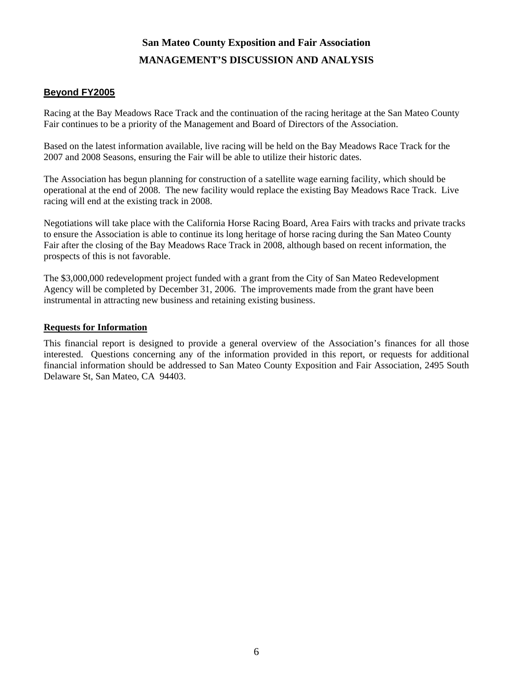## **San Mateo County Exposition and Fair Association MANAGEMENT'S DISCUSSION AND ANALYSIS**

## **Beyond FY2005**

Racing at the Bay Meadows Race Track and the continuation of the racing heritage at the San Mateo County Fair continues to be a priority of the Management and Board of Directors of the Association.

Based on the latest information available, live racing will be held on the Bay Meadows Race Track for the 2007 and 2008 Seasons, ensuring the Fair will be able to utilize their historic dates.

The Association has begun planning for construction of a satellite wage earning facility, which should be operational at the end of 2008. The new facility would replace the existing Bay Meadows Race Track. Live racing will end at the existing track in 2008.

Negotiations will take place with the California Horse Racing Board, Area Fairs with tracks and private tracks to ensure the Association is able to continue its long heritage of horse racing during the San Mateo County Fair after the closing of the Bay Meadows Race Track in 2008, although based on recent information, the prospects of this is not favorable.

The \$3,000,000 redevelopment project funded with a grant from the City of San Mateo Redevelopment Agency will be completed by December 31, 2006. The improvements made from the grant have been instrumental in attracting new business and retaining existing business.

#### **Requests for Information**

This financial report is designed to provide a general overview of the Association's finances for all those interested. Questions concerning any of the information provided in this report, or requests for additional financial information should be addressed to San Mateo County Exposition and Fair Association, 2495 South Delaware St, San Mateo, CA 94403.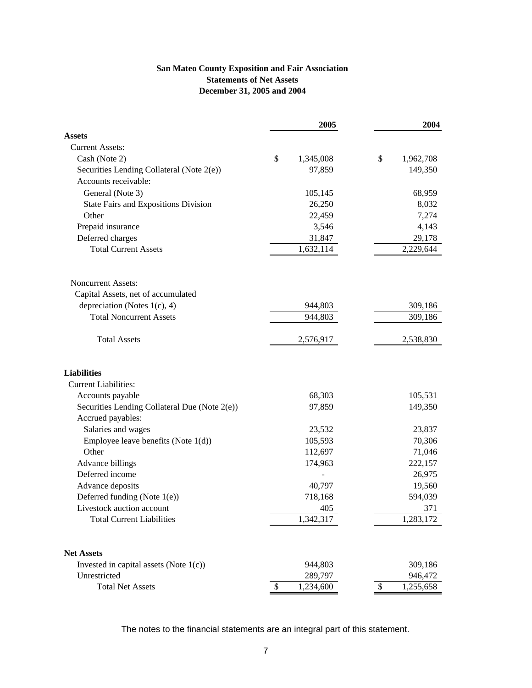#### **San Mateo County Exposition and Fair Association Statements of Net Assets December 31, 2005 and 2004**

|                                                                    | 2005            | 2004            |
|--------------------------------------------------------------------|-----------------|-----------------|
| <b>Assets</b>                                                      |                 |                 |
| <b>Current Assets:</b>                                             |                 |                 |
| Cash (Note 2)                                                      | \$<br>1,345,008 | \$<br>1,962,708 |
| Securities Lending Collateral (Note 2(e))                          | 97,859          | 149,350         |
| Accounts receivable:                                               |                 |                 |
| General (Note 3)                                                   | 105,145         | 68,959          |
| <b>State Fairs and Expositions Division</b>                        | 26,250          | 8,032           |
| Other                                                              | 22,459          | 7,274           |
| Prepaid insurance                                                  | 3,546           | 4,143           |
| Deferred charges                                                   | 31,847          | 29,178          |
| <b>Total Current Assets</b>                                        | 1,632,114       | 2,229,644       |
| <b>Noncurrent Assets:</b>                                          |                 |                 |
| Capital Assets, net of accumulated                                 |                 |                 |
| depreciation (Notes $1(c)$ , 4)                                    | 944,803         | 309,186         |
| <b>Total Noncurrent Assets</b>                                     | 944,803         | 309,186         |
| <b>Total Assets</b>                                                | 2,576,917       | 2,538,830       |
| <b>Liabilities</b>                                                 |                 |                 |
| <b>Current Liabilities:</b>                                        |                 |                 |
| Accounts payable                                                   | 68,303          | 105,531         |
| Securities Lending Collateral Due (Note 2(e))<br>Accrued payables: | 97,859          | 149,350         |
| Salaries and wages                                                 | 23,532          | 23,837          |
| Employee leave benefits (Note $1(d)$ )                             | 105,593         | 70,306          |
| Other                                                              | 112,697         | 71,046          |
| Advance billings                                                   | 174,963         | 222,157         |
| Deferred income                                                    |                 | 26,975          |
| Advance deposits                                                   | 40,797          | 19,560          |
| Deferred funding (Note 1(e))                                       | 718,168         | 594,039         |
| Livestock auction account                                          | 405             | 371             |
| <b>Total Current Liabilities</b>                                   | 1,342,317       | 1,283,172       |
| <b>Net Assets</b>                                                  |                 |                 |
| Invested in capital assets (Note $1(c)$ )                          | 944,803         | 309,186         |
| Unrestricted                                                       | 289,797         | 946,472         |
| <b>Total Net Assets</b>                                            | \$<br>1,234,600 | \$<br>1,255,658 |

The notes to the financial statements are an integral part of this statement.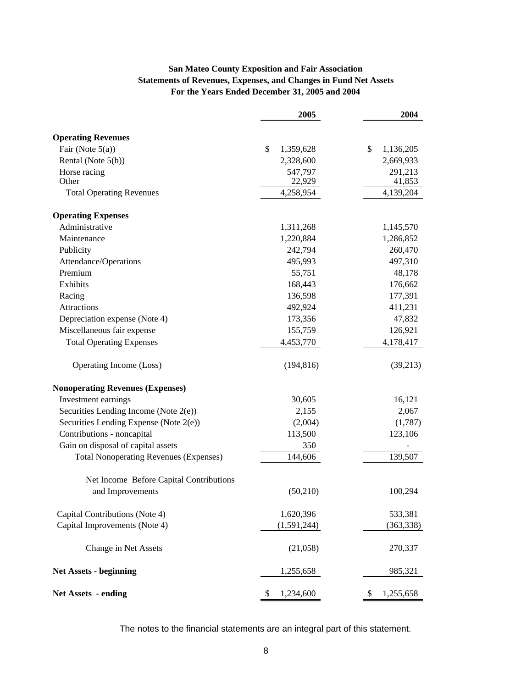### **San Mateo County Exposition and Fair Association Statements of Revenues, Expenses, and Changes in Fund Net Assets For the Years Ended December 31, 2005 and 2004**

|                                               | 2005            | 2004            |
|-----------------------------------------------|-----------------|-----------------|
| <b>Operating Revenues</b>                     |                 |                 |
| Fair (Note $5(a)$ )                           | \$<br>1,359,628 | \$<br>1,136,205 |
| Rental (Note 5(b))                            | 2,328,600       | 2,669,933       |
| Horse racing                                  | 547,797         | 291,213         |
| Other                                         | 22,929          | 41,853          |
| <b>Total Operating Revenues</b>               | 4,258,954       | 4,139,204       |
| <b>Operating Expenses</b>                     |                 |                 |
| Administrative                                | 1,311,268       | 1,145,570       |
| Maintenance                                   | 1,220,884       | 1,286,852       |
| Publicity                                     | 242,794         | 260,470         |
| Attendance/Operations                         | 495,993         | 497,310         |
| Premium                                       | 55,751          | 48,178          |
| Exhibits                                      | 168,443         | 176,662         |
| Racing                                        | 136,598         | 177,391         |
| Attractions                                   | 492,924         | 411,231         |
| Depreciation expense (Note 4)                 | 173,356         | 47,832          |
| Miscellaneous fair expense                    | 155,759         | 126,921         |
| <b>Total Operating Expenses</b>               | 4,453,770       | 4,178,417       |
| Operating Income (Loss)                       | (194, 816)      | (39,213)        |
| <b>Nonoperating Revenues (Expenses)</b>       |                 |                 |
| Investment earnings                           | 30,605          | 16,121          |
| Securities Lending Income (Note $2(e)$ )      | 2,155           | 2,067           |
| Securities Lending Expense (Note 2(e))        | (2,004)         | (1,787)         |
| Contributions - noncapital                    | 113,500         | 123,106         |
| Gain on disposal of capital assets            | 350             |                 |
| <b>Total Nonoperating Revenues (Expenses)</b> | 144,606         | 139,507         |
| Net Income Before Capital Contributions       |                 |                 |
| and Improvements                              | (50,210)        | 100,294         |
| Capital Contributions (Note 4)                | 1,620,396       | 533,381         |
| Capital Improvements (Note 4)                 | (1,591,244)     | (363, 338)      |
| Change in Net Assets                          | (21,058)        | 270,337         |
| <b>Net Assets - beginning</b>                 | 1,255,658       | 985,321         |
| <b>Net Assets - ending</b>                    | 1,234,600<br>\$ | \$<br>1,255,658 |

The notes to the financial statements are an integral part of this statement.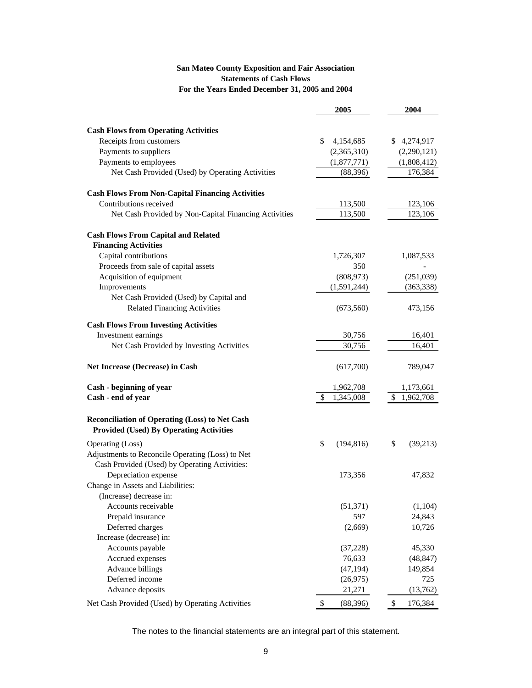#### **San Mateo County Exposition and Fair Association Statements of Cash Flows For the Years Ended December 31, 2005 and 2004**

|                                                                                                         | 2005             | 2004            |
|---------------------------------------------------------------------------------------------------------|------------------|-----------------|
|                                                                                                         |                  |                 |
| <b>Cash Flows from Operating Activities</b>                                                             |                  |                 |
| Receipts from customers                                                                                 | \$<br>4,154,685  | \$4,274,917     |
| Payments to suppliers                                                                                   | (2,365,310)      | (2,290,121)     |
| Payments to employees                                                                                   | (1,877,771)      | (1,808,412)     |
| Net Cash Provided (Used) by Operating Activities                                                        | (88, 396)        | 176,384         |
| <b>Cash Flows From Non-Capital Financing Activities</b>                                                 |                  |                 |
| Contributions received                                                                                  | 113,500          | 123,106         |
| Net Cash Provided by Non-Capital Financing Activities                                                   | 113,500          | 123,106         |
| <b>Cash Flows From Capital and Related</b>                                                              |                  |                 |
| <b>Financing Activities</b>                                                                             |                  |                 |
| Capital contributions                                                                                   | 1,726,307        | 1,087,533       |
| Proceeds from sale of capital assets                                                                    | 350              |                 |
| Acquisition of equipment                                                                                | (808, 973)       | (251,039)       |
| Improvements                                                                                            | (1,591,244)      | (363, 338)      |
| Net Cash Provided (Used) by Capital and                                                                 |                  |                 |
| <b>Related Financing Activities</b>                                                                     | (673,560)        | 473,156         |
| <b>Cash Flows From Investing Activities</b>                                                             |                  |                 |
| Investment earnings                                                                                     | 30,756           | 16,401          |
| Net Cash Provided by Investing Activities                                                               | 30,756           | 16,401          |
| Net Increase (Decrease) in Cash                                                                         | (617,700)        | 789,047         |
| Cash - beginning of year                                                                                | 1,962,708        | 1,173,661       |
| Cash - end of year                                                                                      | 1,345,008<br>\$  | \$<br>1,962,708 |
| <b>Reconciliation of Operating (Loss) to Net Cash</b><br><b>Provided (Used) By Operating Activities</b> |                  |                 |
| Operating (Loss)                                                                                        | \$<br>(194, 816) | \$<br>(39,213)  |
| Adjustments to Reconcile Operating (Loss) to Net                                                        |                  |                 |
| Cash Provided (Used) by Operating Activities:                                                           |                  |                 |
| Depreciation expense                                                                                    | 173,356          | 47,832          |
| Change in Assets and Liabilities:                                                                       |                  |                 |
| (Increase) decrease in:                                                                                 |                  |                 |
| Accounts receivable                                                                                     | (51, 371)        | (1,104)         |
| Prepaid insurance                                                                                       | 597              | 24,843          |
| Deferred charges                                                                                        | (2,669)          | 10,726          |
| Increase (decrease) in:                                                                                 |                  |                 |
| Accounts payable                                                                                        | (37, 228)        | 45,330          |
| Accrued expenses                                                                                        | 76,633           | (48, 847)       |
| Advance billings                                                                                        | (47, 194)        | 149,854         |
| Deferred income                                                                                         | (26,975)         | 725             |
| Advance deposits                                                                                        | 21,271           | (13,762)        |
| Net Cash Provided (Used) by Operating Activities                                                        | \$<br>(88, 396)  | \$<br>176,384   |

The notes to the financial statements are an integral part of this statement.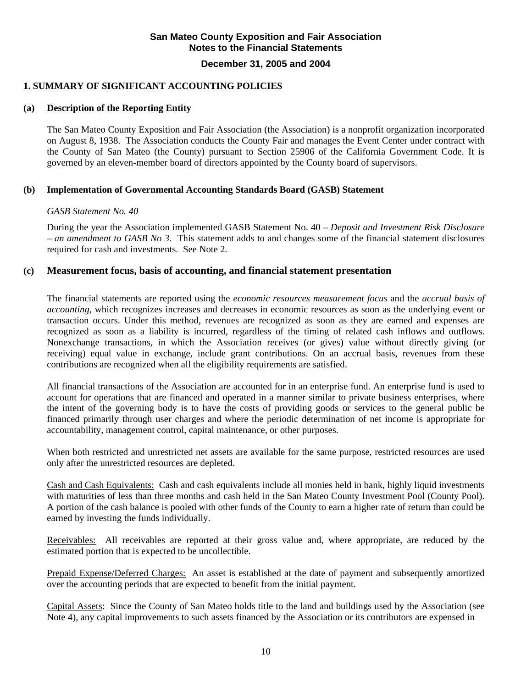#### **December 31, 2005 and 2004**

## **1. SUMMARY OF SIGNIFICANT ACCOUNTING POLICIES**

## **(a) Description of the Reporting Entity**

The San Mateo County Exposition and Fair Association (the Association) is a nonprofit organization incorporated on August 8, 1938. The Association conducts the County Fair and manages the Event Center under contract with the County of San Mateo (the County) pursuant to Section 25906 of the California Government Code. It is governed by an eleven-member board of directors appointed by the County board of supervisors.

## **(b) Implementation of Governmental Accounting Standards Board (GASB) Statement**

## *GASB Statement No. 40*

During the year the Association implemented GASB Statement No. 40 – *Deposit and Investment Risk Disclosure – an amendment to GASB No 3*. This statement adds to and changes some of the financial statement disclosures required for cash and investments. See Note 2.

## **(c) Measurement focus, basis of accounting, and financial statement presentation**

The financial statements are reported using the *economic resources measurement focus* and the *accrual basis of accounting*, which recognizes increases and decreases in economic resources as soon as the underlying event or transaction occurs. Under this method, revenues are recognized as soon as they are earned and expenses are recognized as soon as a liability is incurred, regardless of the timing of related cash inflows and outflows. Nonexchange transactions, in which the Association receives (or gives) value without directly giving (or receiving) equal value in exchange, include grant contributions. On an accrual basis, revenues from these contributions are recognized when all the eligibility requirements are satisfied.

All financial transactions of the Association are accounted for in an enterprise fund. An enterprise fund is used to account for operations that are financed and operated in a manner similar to private business enterprises, where the intent of the governing body is to have the costs of providing goods or services to the general public be financed primarily through user charges and where the periodic determination of net income is appropriate for accountability, management control, capital maintenance, or other purposes.

When both restricted and unrestricted net assets are available for the same purpose, restricted resources are used only after the unrestricted resources are depleted.

Cash and Cash Equivalents: Cash and cash equivalents include all monies held in bank, highly liquid investments with maturities of less than three months and cash held in the San Mateo County Investment Pool (County Pool). A portion of the cash balance is pooled with other funds of the County to earn a higher rate of return than could be earned by investing the funds individually.

Receivables: All receivables are reported at their gross value and, where appropriate, are reduced by the estimated portion that is expected to be uncollectible.

Prepaid Expense/Deferred Charges: An asset is established at the date of payment and subsequently amortized over the accounting periods that are expected to benefit from the initial payment.

Capital Assets: Since the County of San Mateo holds title to the land and buildings used by the Association (see Note 4), any capital improvements to such assets financed by the Association or its contributors are expensed in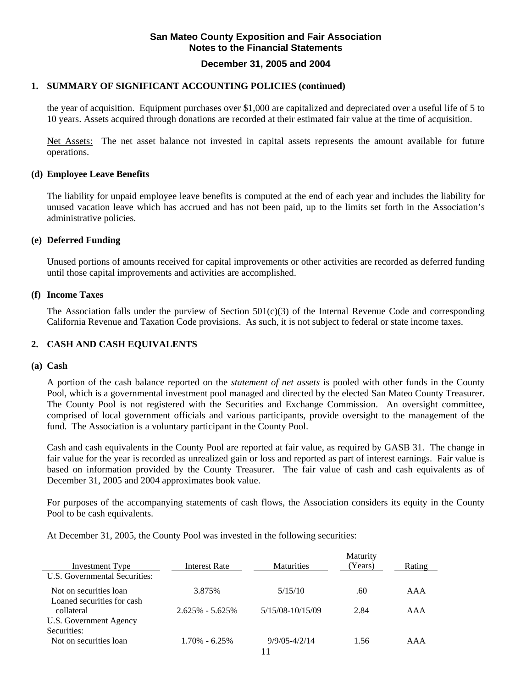#### **December 31, 2005 and 2004**

#### **1. SUMMARY OF SIGNIFICANT ACCOUNTING POLICIES (continued)**

the year of acquisition. Equipment purchases over \$1,000 are capitalized and depreciated over a useful life of 5 to 10 years. Assets acquired through donations are recorded at their estimated fair value at the time of acquisition.

Net Assets: The net asset balance not invested in capital assets represents the amount available for future operations.

#### **(d) Employee Leave Benefits**

The liability for unpaid employee leave benefits is computed at the end of each year and includes the liability for unused vacation leave which has accrued and has not been paid, up to the limits set forth in the Association's administrative policies.

#### **(e) Deferred Funding**

Unused portions of amounts received for capital improvements or other activities are recorded as deferred funding until those capital improvements and activities are accomplished.

#### **(f) Income Taxes**

The Association falls under the purview of Section  $501(c)(3)$  of the Internal Revenue Code and corresponding California Revenue and Taxation Code provisions. As such, it is not subject to federal or state income taxes.

#### **2. CASH AND CASH EQUIVALENTS**

#### **(a) Cash**

A portion of the cash balance reported on the *statement of net assets* is pooled with other funds in the County Pool, which is a governmental investment pool managed and directed by the elected San Mateo County Treasurer. The County Pool is not registered with the Securities and Exchange Commission. An oversight committee, comprised of local government officials and various participants, provide oversight to the management of the fund. The Association is a voluntary participant in the County Pool.

 Cash and cash equivalents in the County Pool are reported at fair value, as required by GASB 31. The change in fair value for the year is recorded as unrealized gain or loss and reported as part of interest earnings. Fair value is based on information provided by the County Treasurer. The fair value of cash and cash equivalents as of December 31, 2005 and 2004 approximates book value.

 For purposes of the accompanying statements of cash flows, the Association considers its equity in the County Pool to be cash equivalents.

At December 31, 2005, the County Pool was invested in the following securities:

|                               |                      |                   | Maturity |        |
|-------------------------------|----------------------|-------------------|----------|--------|
| Investment Type               | <b>Interest Rate</b> | <b>Maturities</b> | (Years)  | Rating |
| U.S. Governmental Securities: |                      |                   |          |        |
| Not on securities loan        | 3.875%               | 5/15/10           | .60      | AAA    |
| Loaned securities for cash    |                      |                   |          |        |
| collateral                    | $2.625\% - 5.625\%$  | 5/15/08-10/15/09  | 2.84     | AAA    |
| U.S. Government Agency        |                      |                   |          |        |
| Securities:                   |                      |                   |          |        |
| Not on securities loan        | $1.70\% - 6.25\%$    | $9/9/05 - 4/2/14$ | 1.56     | AAA    |
|                               |                      | 11                |          |        |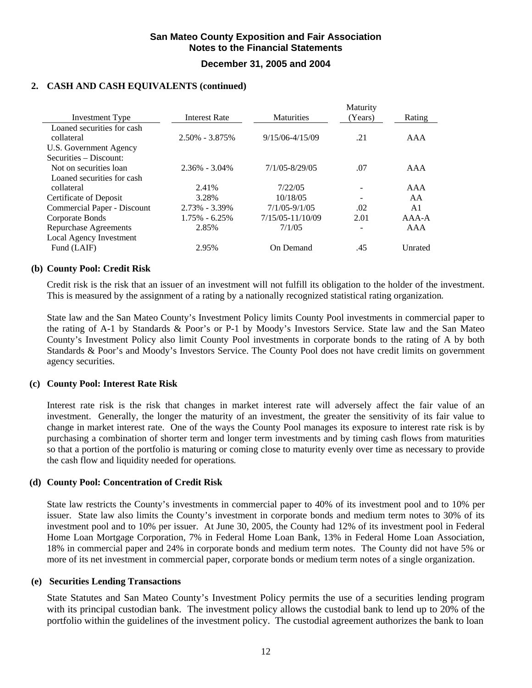## **San Mateo County Exposition and Fair Association Notes to the Financial Statements December 31, 2005 and 2004**

#### **2. CASH AND CASH EQUIVALENTS (continued)**

|                              |                      |                     | Maturity |         |
|------------------------------|----------------------|---------------------|----------|---------|
| Investment Type              | <b>Interest Rate</b> | <b>Maturities</b>   | (Years)  | Rating  |
| Loaned securities for cash   |                      |                     |          |         |
| collateral                   | $2.50\% - 3.875\%$   | $9/15/06 - 4/15/09$ | .21      | AAA     |
| U.S. Government Agency       |                      |                     |          |         |
| Securities – Discount:       |                      |                     |          |         |
| Not on securities loan       | $2.36\% - 3.04\%$    | $7/1/05 - 8/29/05$  | .07      | AAA     |
| Loaned securities for cash   |                      |                     |          |         |
| collateral                   | 2.41%                | 7/22/05             |          | AAA     |
| Certificate of Deposit       | 3.28%                | 10/18/05            |          | AA      |
| Commercial Paper - Discount  | $2.73\% - 3.39\%$    | $7/1/05 - 9/1/05$   | .02      | A1      |
| Corporate Bonds              | $1.75\% - 6.25\%$    | 7/15/05-11/10/09    | 2.01     | $AAA-A$ |
| <b>Repurchase Agreements</b> | 2.85%                | 7/1/05              |          | AAA     |
| Local Agency Investment      |                      |                     |          |         |
| Fund (LAIF)                  | 2.95%                | On Demand           | .45      | Unrated |

#### **(b) County Pool: Credit Risk**

Credit risk is the risk that an issuer of an investment will not fulfill its obligation to the holder of the investment. This is measured by the assignment of a rating by a nationally recognized statistical rating organization*.*

State law and the San Mateo County's Investment Policy limits County Pool investments in commercial paper to the rating of A-1 by Standards & Poor's or P-1 by Moody's Investors Service. State law and the San Mateo County's Investment Policy also limit County Pool investments in corporate bonds to the rating of A by both Standards & Poor's and Moody's Investors Service. The County Pool does not have credit limits on government agency securities.

#### **(c) County Pool: Interest Rate Risk**

Interest rate risk is the risk that changes in market interest rate will adversely affect the fair value of an investment. Generally, the longer the maturity of an investment, the greater the sensitivity of its fair value to change in market interest rate. One of the ways the County Pool manages its exposure to interest rate risk is by purchasing a combination of shorter term and longer term investments and by timing cash flows from maturities so that a portion of the portfolio is maturing or coming close to maturity evenly over time as necessary to provide the cash flow and liquidity needed for operations*.* 

#### **(d) County Pool: Concentration of Credit Risk**

State law restricts the County's investments in commercial paper to 40% of its investment pool and to 10% per issuer. State law also limits the County's investment in corporate bonds and medium term notes to 30% of its investment pool and to 10% per issuer. At June 30, 2005, the County had 12% of its investment pool in Federal Home Loan Mortgage Corporation, 7% in Federal Home Loan Bank, 13% in Federal Home Loan Association, 18% in commercial paper and 24% in corporate bonds and medium term notes. The County did not have 5% or more of its net investment in commercial paper, corporate bonds or medium term notes of a single organization.

#### **(e) Securities Lending Transactions**

State Statutes and San Mateo County's Investment Policy permits the use of a securities lending program with its principal custodian bank. The investment policy allows the custodial bank to lend up to 20% of the portfolio within the guidelines of the investment policy. The custodial agreement authorizes the bank to loan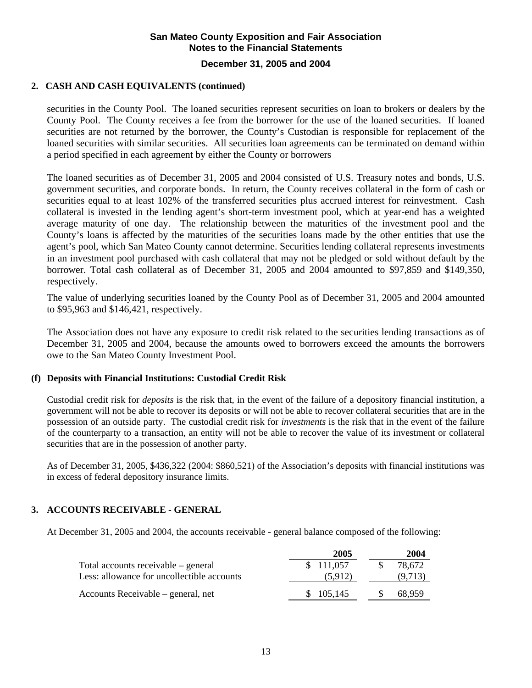## **December 31, 2005 and 2004**

### **2. CASH AND CASH EQUIVALENTS (continued)**

securities in the County Pool. The loaned securities represent securities on loan to brokers or dealers by the County Pool. The County receives a fee from the borrower for the use of the loaned securities. If loaned securities are not returned by the borrower, the County's Custodian is responsible for replacement of the loaned securities with similar securities. All securities loan agreements can be terminated on demand within a period specified in each agreement by either the County or borrowers

The loaned securities as of December 31, 2005 and 2004 consisted of U.S. Treasury notes and bonds, U.S. government securities, and corporate bonds. In return, the County receives collateral in the form of cash or securities equal to at least 102% of the transferred securities plus accrued interest for reinvestment. Cash collateral is invested in the lending agent's short-term investment pool, which at year-end has a weighted average maturity of one day. The relationship between the maturities of the investment pool and the County's loans is affected by the maturities of the securities loans made by the other entities that use the agent's pool, which San Mateo County cannot determine. Securities lending collateral represents investments in an investment pool purchased with cash collateral that may not be pledged or sold without default by the borrower. Total cash collateral as of December 31, 2005 and 2004 amounted to \$97,859 and \$149,350, respectively.

The value of underlying securities loaned by the County Pool as of December 31, 2005 and 2004 amounted to \$95,963 and \$146,421, respectively.

The Association does not have any exposure to credit risk related to the securities lending transactions as of December 31, 2005 and 2004, because the amounts owed to borrowers exceed the amounts the borrowers owe to the San Mateo County Investment Pool.

#### **(f) Deposits with Financial Institutions: Custodial Credit Risk**

Custodial credit risk for *deposits* is the risk that, in the event of the failure of a depository financial institution, a government will not be able to recover its deposits or will not be able to recover collateral securities that are in the possession of an outside party. The custodial credit risk for *investments* is the risk that in the event of the failure of the counterparty to a transaction, an entity will not be able to recover the value of its investment or collateral securities that are in the possession of another party.

As of December 31, 2005, \$436,322 (2004: \$860,521) of the Association's deposits with financial institutions was in excess of federal depository insurance limits.

### **3. ACCOUNTS RECEIVABLE - GENERAL**

At December 31, 2005 and 2004, the accounts receivable - general balance composed of the following:

|                                            | 2005      | 2004    |
|--------------------------------------------|-----------|---------|
| Total accounts receivable – general        | \$111,057 | 78.672  |
| Less: allowance for uncollectible accounts | (5,912)   | (9,713) |
| Accounts Receivable – general, net         | \$105,145 | 68.959  |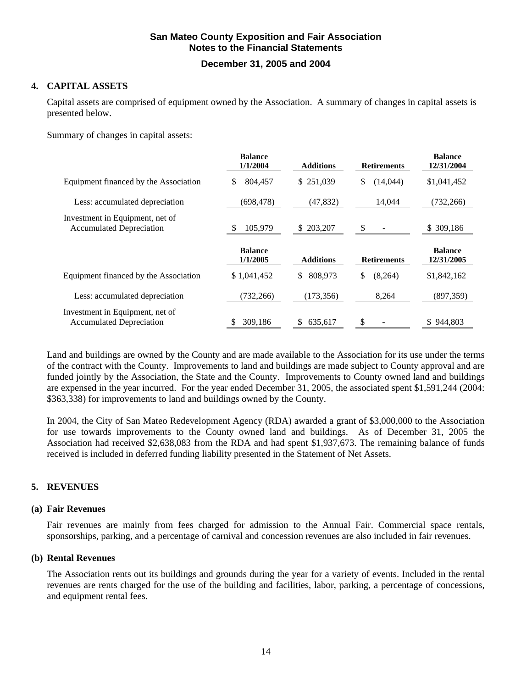## **December 31, 2005 and 2004**

### **4. CAPITAL ASSETS**

Capital assets are comprised of equipment owned by the Association. A summary of changes in capital assets is presented below.

Summary of changes in capital assets:

|                                                                    | <b>Balance</b><br>1/1/2004 | <b>Additions</b> | <b>Retirements</b> | <b>Balance</b><br>12/31/2004 |
|--------------------------------------------------------------------|----------------------------|------------------|--------------------|------------------------------|
| Equipment financed by the Association                              | 804,457<br>\$              | \$251,039        | \$<br>(14,044)     | \$1,041,452                  |
| Less: accumulated depreciation                                     | (698, 478)                 | (47, 832)        | 14,044             | (732, 266)                   |
| Investment in Equipment, net of<br><b>Accumulated Depreciation</b> | 105,979                    | \$ 203,207       | \$                 | \$309,186                    |
|                                                                    |                            |                  |                    |                              |
|                                                                    | <b>Balance</b><br>1/1/2005 | <b>Additions</b> | <b>Retirements</b> | <b>Balance</b><br>12/31/2005 |
| Equipment financed by the Association                              | \$1,041,452                | 808,973<br>\$    | \$<br>(8,264)      | \$1,842,162                  |
| Less: accumulated depreciation                                     | (732, 266)                 | (173, 356)       | 8,264              | (897, 359)                   |

Land and buildings are owned by the County and are made available to the Association for its use under the terms of the contract with the County. Improvements to land and buildings are made subject to County approval and are funded jointly by the Association, the State and the County. Improvements to County owned land and buildings are expensed in the year incurred. For the year ended December 31, 2005, the associated spent \$1,591,244 (2004: \$363,338) for improvements to land and buildings owned by the County.

In 2004, the City of San Mateo Redevelopment Agency (RDA) awarded a grant of \$3,000,000 to the Association for use towards improvements to the County owned land and buildings. As of December 31, 2005 the Association had received \$2,638,083 from the RDA and had spent \$1,937,673. The remaining balance of funds received is included in deferred funding liability presented in the Statement of Net Assets.

### **5. REVENUES**

#### **(a) Fair Revenues**

Fair revenues are mainly from fees charged for admission to the Annual Fair. Commercial space rentals, sponsorships, parking, and a percentage of carnival and concession revenues are also included in fair revenues.

#### **(b) Rental Revenues**

The Association rents out its buildings and grounds during the year for a variety of events. Included in the rental revenues are rents charged for the use of the building and facilities, labor, parking, a percentage of concessions, and equipment rental fees.